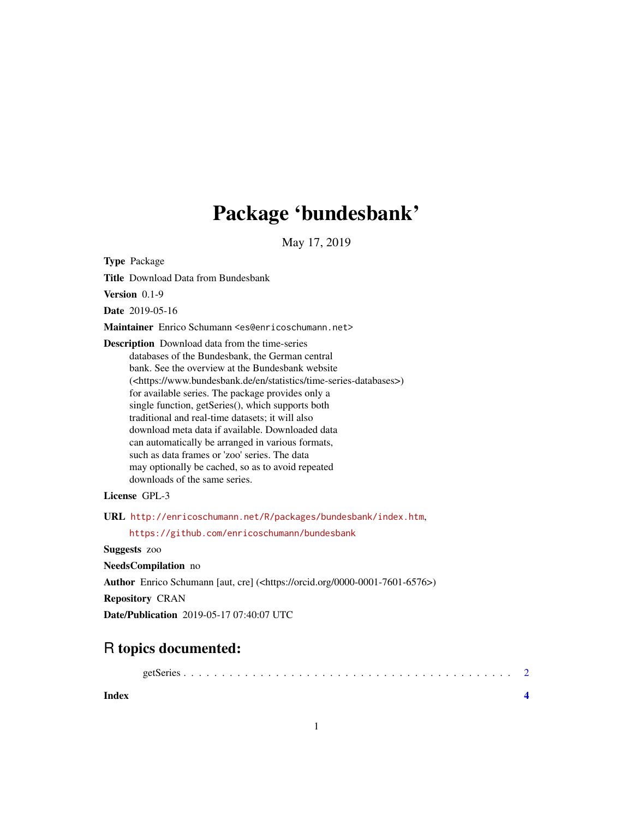## Package 'bundesbank'

May 17, 2019

<span id="page-0-0"></span>Type Package

Title Download Data from Bundesbank

Version 0.1-9

Date 2019-05-16

Maintainer Enrico Schumann <es@enricoschumann.net>

Description Download data from the time-series databases of the Bundesbank, the German central bank. See the overview at the Bundesbank website (<https://www.bundesbank.de/en/statistics/time-series-databases>) for available series. The package provides only a single function, getSeries(), which supports both traditional and real-time datasets; it will also download meta data if available. Downloaded data can automatically be arranged in various formats, such as data frames or 'zoo' series. The data may optionally be cached, so as to avoid repeated downloads of the same series.

License GPL-3

URL <http://enricoschumann.net/R/packages/bundesbank/index.htm>,

<https://github.com/enricoschumann/bundesbank>

Suggests zoo

NeedsCompilation no

Author Enrico Schumann [aut, cre] (<https://orcid.org/0000-0001-7601-6576>)

Repository CRAN

Date/Publication 2019-05-17 07:40:07 UTC

### R topics documented:

| Index |  |  |  |  |  |  |  |  |  |  |  |  |  |  |  |
|-------|--|--|--|--|--|--|--|--|--|--|--|--|--|--|--|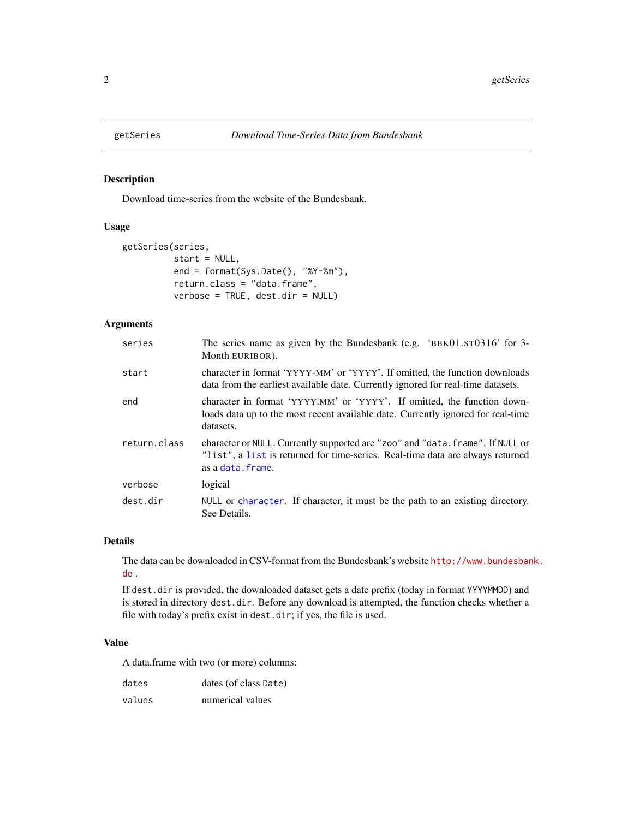<span id="page-1-0"></span>

#### Description

Download time-series from the website of the Bundesbank.

#### Usage

```
getSeries(series,
          start = NULL,
          end = format(Sys.Date(), "%Y-%m"),
          return.class = "data.frame",
          verbose = TRUE, dest.dir = NULL)
```
#### Arguments

| series       | The series name as given by the Bundesbank (e.g. 'BBK $01.5T0316$ ' for 3-<br>Month EURIBOR).                                                                                         |
|--------------|---------------------------------------------------------------------------------------------------------------------------------------------------------------------------------------|
| start        | character in format 'YYYY-MM' or 'YYYY'. If omitted, the function downloads<br>data from the earliest available date. Currently ignored for real-time datasets.                       |
| end          | character in format 'YYYY.MM' or 'YYYY'. If omitted, the function down-<br>loads data up to the most recent available date. Currently ignored for real-time<br>datasets.              |
| return.class | character or NULL. Currently supported are "zoo" and "data. frame". If NULL or<br>"list", a list is returned for time-series. Real-time data are always returned<br>as a data. frame. |
| verbose      | logical                                                                                                                                                                               |
| dest.dir     | NULL or character. If character, it must be the path to an existing directory.<br>See Details.                                                                                        |

#### Details

The data can be downloaded in CSV-format from the Bundesbank's website [http://www.bundesban](http://www.bundesbank.de)k. [de](http://www.bundesbank.de) .

If dest.dir is provided, the downloaded dataset gets a date prefix (today in format YYYYMMDD) and is stored in directory dest.dir. Before any download is attempted, the function checks whether a file with today's prefix exist in dest.dir; if yes, the file is used.

#### Value

A data.frame with two (or more) columns:

| dates  | dates (of class Date) |
|--------|-----------------------|
| values | numerical values      |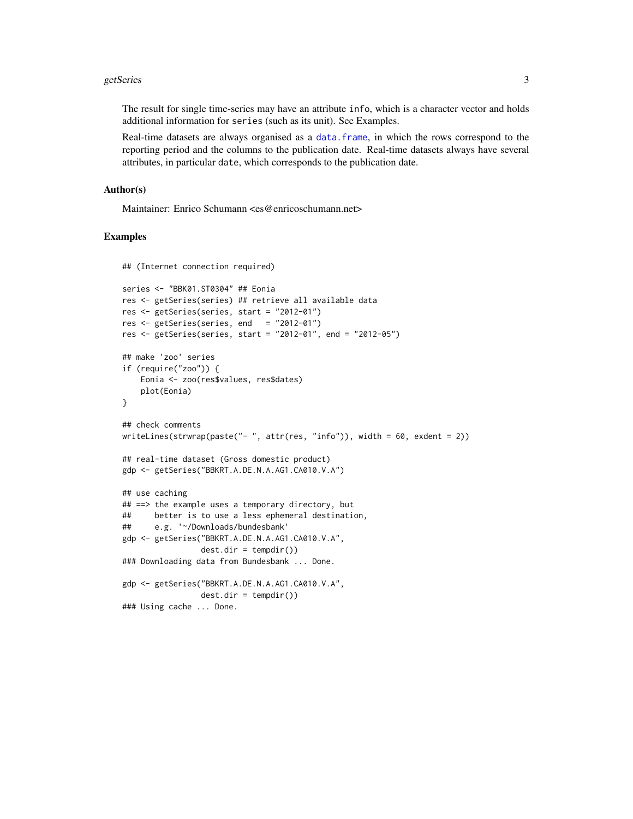#### <span id="page-2-0"></span>getSeries 3

The result for single time-series may have an attribute info, which is a character vector and holds additional information for series (such as its unit). See Examples.

Real-time datasets are always organised as a [data.frame](#page-0-0), in which the rows correspond to the reporting period and the columns to the publication date. Real-time datasets always have several attributes, in particular date, which corresponds to the publication date.

#### Author(s)

Maintainer: Enrico Schumann <es@enricoschumann.net>

#### Examples

```
## (Internet connection required)
series <- "BBK01.ST0304" ## Eonia
res <- getSeries(series) ## retrieve all available data
res <- getSeries(series, start = "2012-01")
res <- getSeries(series, end = "2012-01")
res <- getSeries(series, start = "2012-01", end = "2012-05")
## make 'zoo' series
if (require("zoo")) {
   Eonia <- zoo(res$values, res$dates)
   plot(Eonia)
}
## check comments
writeLines(strwrap(paste("- ", attr(res, "info")), width = 60, exdent = 2))
## real-time dataset (Gross domestic product)
gdp <- getSeries("BBKRT.A.DE.N.A.AG1.CA010.V.A")
## use caching
## ==> the example uses a temporary directory, but
## better is to use a less ephemeral destination,
## e.g. '~/Downloads/bundesbank'
gdp <- getSeries("BBKRT.A.DE.N.A.AG1.CA010.V.A",
                dest.dir = tempdir())
### Downloading data from Bundesbank ... Done.
gdp <- getSeries("BBKRT.A.DE.N.A.AG1.CA010.V.A",
                dest.dir = tempdir()### Using cache ... Done.
```